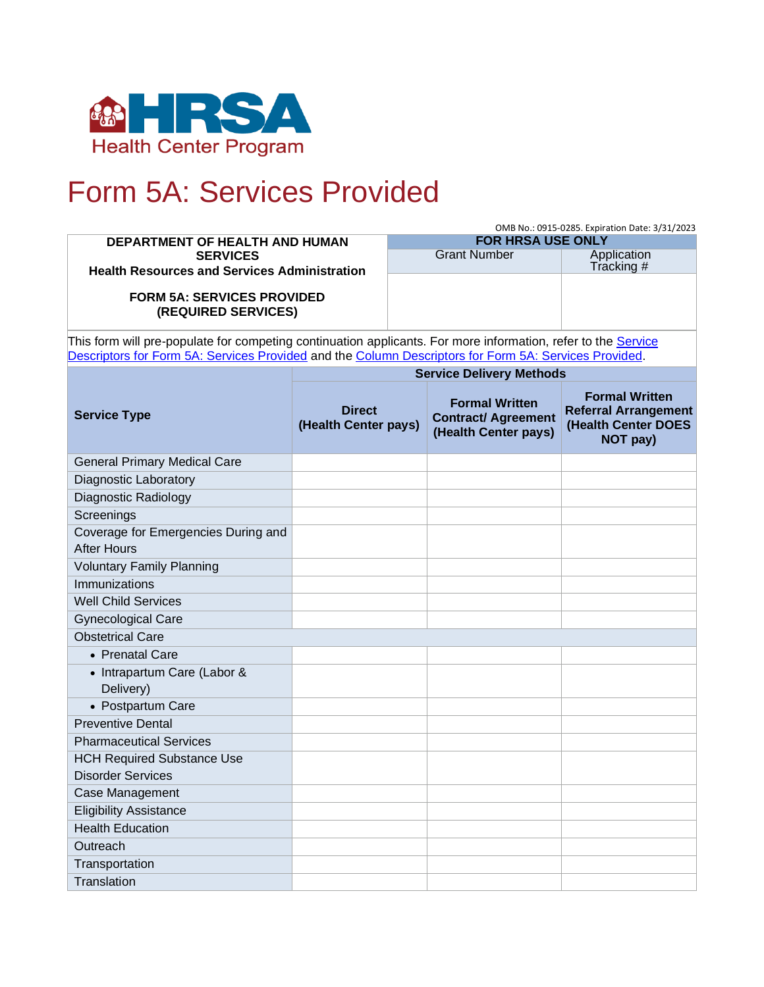

# Form 5A: Services Provided

|                                                                                                               |                                       | OMB No.: 0915-0285. Expiration Date: 3/31/2023                 |                                                                             |                                                                                         |  |  |  |
|---------------------------------------------------------------------------------------------------------------|---------------------------------------|----------------------------------------------------------------|-----------------------------------------------------------------------------|-----------------------------------------------------------------------------------------|--|--|--|
| DEPARTMENT OF HEALTH AND HUMAN                                                                                |                                       | <b>FOR HRSA USE ONLY</b><br><b>Grant Number</b><br>Application |                                                                             |                                                                                         |  |  |  |
| <b>SERVICES</b><br><b>Health Resources and Services Administration</b>                                        |                                       |                                                                |                                                                             | Tracking #                                                                              |  |  |  |
|                                                                                                               |                                       |                                                                |                                                                             |                                                                                         |  |  |  |
| <b>FORM 5A: SERVICES PROVIDED</b>                                                                             |                                       |                                                                |                                                                             |                                                                                         |  |  |  |
| (REQUIRED SERVICES)                                                                                           |                                       |                                                                |                                                                             |                                                                                         |  |  |  |
| This form will pre-populate for competing continuation applicants. For more information, refer to the Service |                                       |                                                                |                                                                             |                                                                                         |  |  |  |
| Descriptors for Form 5A: Services Provided and the Column Descriptors for Form 5A: Services Provided.         |                                       |                                                                |                                                                             |                                                                                         |  |  |  |
|                                                                                                               | <b>Service Delivery Methods</b>       |                                                                |                                                                             |                                                                                         |  |  |  |
| <b>Service Type</b>                                                                                           | <b>Direct</b><br>(Health Center pays) |                                                                | <b>Formal Written</b><br><b>Contract/ Agreement</b><br>(Health Center pays) | <b>Formal Written</b><br><b>Referral Arrangement</b><br>(Health Center DOES<br>NOT pay) |  |  |  |
| <b>General Primary Medical Care</b>                                                                           |                                       |                                                                |                                                                             |                                                                                         |  |  |  |
| <b>Diagnostic Laboratory</b>                                                                                  |                                       |                                                                |                                                                             |                                                                                         |  |  |  |
| Diagnostic Radiology                                                                                          |                                       |                                                                |                                                                             |                                                                                         |  |  |  |
| Screenings                                                                                                    |                                       |                                                                |                                                                             |                                                                                         |  |  |  |
| Coverage for Emergencies During and                                                                           |                                       |                                                                |                                                                             |                                                                                         |  |  |  |
| <b>After Hours</b>                                                                                            |                                       |                                                                |                                                                             |                                                                                         |  |  |  |
| <b>Voluntary Family Planning</b>                                                                              |                                       |                                                                |                                                                             |                                                                                         |  |  |  |
| Immunizations                                                                                                 |                                       |                                                                |                                                                             |                                                                                         |  |  |  |
| <b>Well Child Services</b>                                                                                    |                                       |                                                                |                                                                             |                                                                                         |  |  |  |
| <b>Gynecological Care</b>                                                                                     |                                       |                                                                |                                                                             |                                                                                         |  |  |  |
| <b>Obstetrical Care</b>                                                                                       |                                       |                                                                |                                                                             |                                                                                         |  |  |  |
| • Prenatal Care                                                                                               |                                       |                                                                |                                                                             |                                                                                         |  |  |  |
| • Intrapartum Care (Labor &<br>Delivery)                                                                      |                                       |                                                                |                                                                             |                                                                                         |  |  |  |
| • Postpartum Care                                                                                             |                                       |                                                                |                                                                             |                                                                                         |  |  |  |
| <b>Preventive Dental</b>                                                                                      |                                       |                                                                |                                                                             |                                                                                         |  |  |  |
| <b>Pharmaceutical Services</b>                                                                                |                                       |                                                                |                                                                             |                                                                                         |  |  |  |
| <b>HCH Required Substance Use</b>                                                                             |                                       |                                                                |                                                                             |                                                                                         |  |  |  |
| <b>Disorder Services</b>                                                                                      |                                       |                                                                |                                                                             |                                                                                         |  |  |  |
| Case Management                                                                                               |                                       |                                                                |                                                                             |                                                                                         |  |  |  |
| <b>Eligibility Assistance</b>                                                                                 |                                       |                                                                |                                                                             |                                                                                         |  |  |  |
| <b>Health Education</b>                                                                                       |                                       |                                                                |                                                                             |                                                                                         |  |  |  |
| Outreach                                                                                                      |                                       |                                                                |                                                                             |                                                                                         |  |  |  |
| Transportation                                                                                                |                                       |                                                                |                                                                             |                                                                                         |  |  |  |
| Translation                                                                                                   |                                       |                                                                |                                                                             |                                                                                         |  |  |  |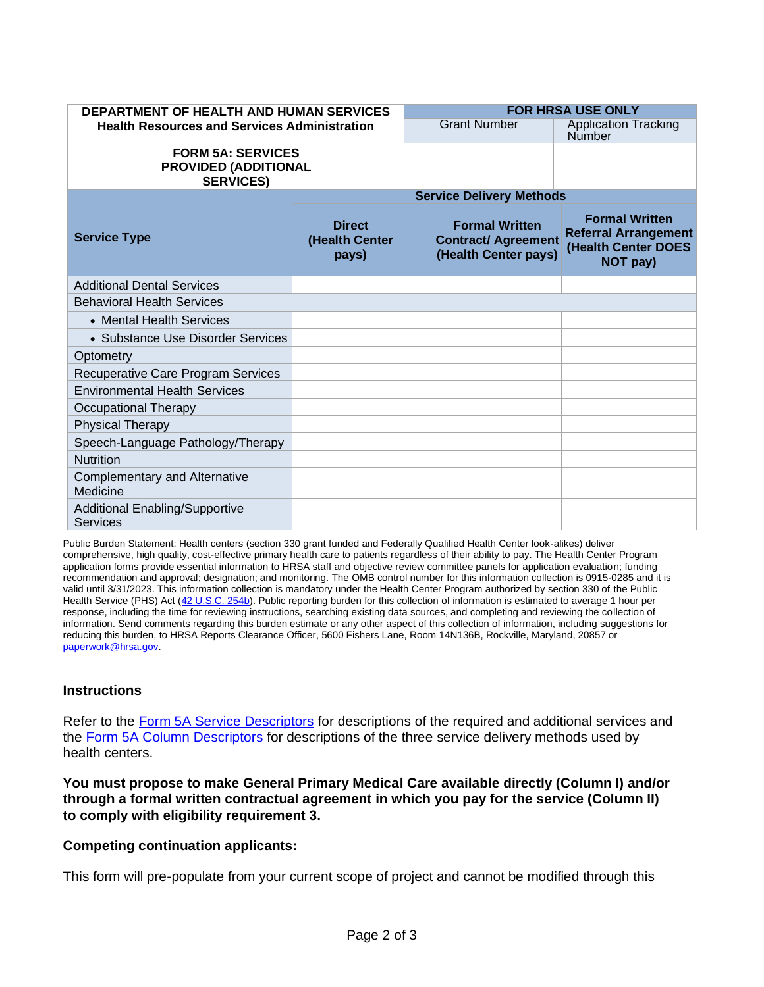| <b>DEPARTMENT OF HEALTH AND HUMAN SERVICES</b><br><b>Health Resources and Services Administration</b> |                                          |  | <b>FOR HRSA USE ONLY</b>                                                    |                                                                                         |  |
|-------------------------------------------------------------------------------------------------------|------------------------------------------|--|-----------------------------------------------------------------------------|-----------------------------------------------------------------------------------------|--|
|                                                                                                       |                                          |  | <b>Grant Number</b>                                                         | <b>Application Tracking</b><br>Number                                                   |  |
| <b>FORM 5A: SERVICES</b><br><b>PROVIDED (ADDITIONAL</b><br><b>SERVICES)</b>                           |                                          |  |                                                                             |                                                                                         |  |
|                                                                                                       | <b>Service Delivery Methods</b>          |  |                                                                             |                                                                                         |  |
| <b>Service Type</b>                                                                                   | <b>Direct</b><br>(Health Center<br>pays) |  | <b>Formal Written</b><br><b>Contract/ Agreement</b><br>(Health Center pays) | <b>Formal Written</b><br><b>Referral Arrangement</b><br>(Health Center DOES<br>NOT pay) |  |
| <b>Additional Dental Services</b>                                                                     |                                          |  |                                                                             |                                                                                         |  |
| <b>Behavioral Health Services</b>                                                                     |                                          |  |                                                                             |                                                                                         |  |
| • Mental Health Services                                                                              |                                          |  |                                                                             |                                                                                         |  |
| • Substance Use Disorder Services                                                                     |                                          |  |                                                                             |                                                                                         |  |
| Optometry                                                                                             |                                          |  |                                                                             |                                                                                         |  |
| Recuperative Care Program Services                                                                    |                                          |  |                                                                             |                                                                                         |  |
| <b>Environmental Health Services</b>                                                                  |                                          |  |                                                                             |                                                                                         |  |
| <b>Occupational Therapy</b>                                                                           |                                          |  |                                                                             |                                                                                         |  |
| <b>Physical Therapy</b>                                                                               |                                          |  |                                                                             |                                                                                         |  |
| Speech-Language Pathology/Therapy                                                                     |                                          |  |                                                                             |                                                                                         |  |
| <b>Nutrition</b>                                                                                      |                                          |  |                                                                             |                                                                                         |  |
| <b>Complementary and Alternative</b><br>Medicine                                                      |                                          |  |                                                                             |                                                                                         |  |
| <b>Additional Enabling/Supportive</b><br>Services                                                     |                                          |  |                                                                             |                                                                                         |  |

Public Burden Statement: Health centers (section 330 grant funded and Federally Qualified Health Center look-alikes) deliver comprehensive, high quality, cost-effective primary health care to patients regardless of their ability to pay. The Health Center Program application forms provide essential information to HRSA staff and objective review committee panels for application evaluation; funding recommendation and approval; designation; and monitoring. The OMB control number for this information collection is 0915-0285 and it is valid until 3/31/2023. This information collection is mandatory under the Health Center Program authorized by section 330 of the Public Health Service (PHS) Act [\(42 U.S.C. 254b\)](http://uscode.house.gov/view.xhtml?req=granuleid:USC-prelim-title42-section254b&num=0&edition=prelim). Public reporting burden for this collection of information is estimated to average 1 hour per response, including the time for reviewing instructions, searching existing data sources, and completing and reviewing the collection of information. Send comments regarding this burden estimate or any other aspect of this collection of information, including suggestions for reducing this burden, to HRSA Reports Clearance Officer, 5600 Fishers Lane, Room 14N136B, Rockville, Maryland, 20857 or [paperwork@hrsa.gov.](mailto:paperwork@hrsa.gov)

### **Instructions**

Refer to the [Form 5A Service Descriptors](https://bphc.hrsa.gov/about/requirements/scope/form5aservicedescriptors.pdf) for descriptions of the required and additional services and the [Form 5A Column Descriptors](https://bphc.hrsa.gov/sites/default/files/bphc/programrequirements/scope/form5acolumndescriptors.pdf) for descriptions of the three service delivery methods used by health centers.

**You must propose to make General Primary Medical Care available directly (Column I) and/or through a formal written contractual agreement in which you pay for the service (Column II) to comply with eligibility requirement 3.** 

#### **Competing continuation applicants:**

This form will pre-populate from your current scope of project and cannot be modified through this